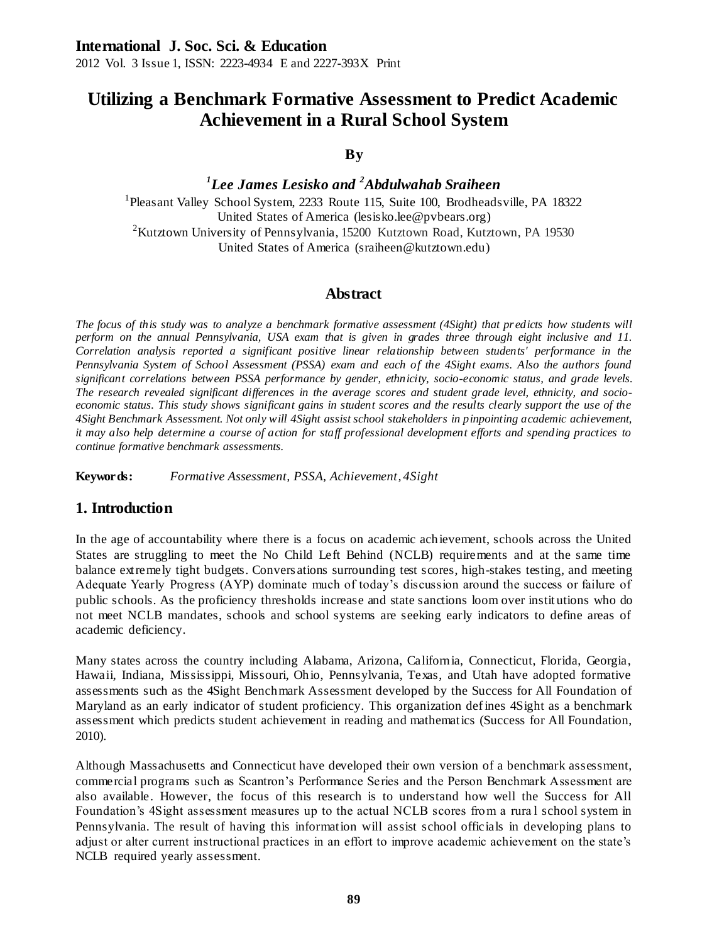2012 Vol. 3 Issue 1, ISSN: 2223-4934 E and 2227-393X Print

# **Utilizing a Benchmark Formative Assessment to Predict Academic Achievement in a Rural School System**

### **By**

*1 Lee James Lesisko and <sup>2</sup>Abdulwahab Sraiheen* <sup>1</sup>Pleasant Valley School System, 2233 Route 115, Suite 100, Brodheadsville, PA 18322 United States of America (lesisko.lee@pvbears.org) <sup>2</sup>Kutztown University of Pennsylvania, 15200 Kutztown Road, Kutztown, PA 19530 United States of America (sraiheen@kutztown.edu)

# **Abstract**

*The focus of this study was to analyze a benchmark formative assessment (4Sight) that pr edicts how students will perform on the annual Pennsylvania, USA exam that is given in grades three through eight inclusive and 11. Correlation analysis reported a significant positive linear relationship between students' performance in the Pennsylvania System of School Assessment (PSSA) exam and each of the 4Sight exams. Also the authors found significant correlations between PSSA performance by gender, ethnicity, socio-economic status, and grade levels. The research revealed significant differences in the average scores and student grade level, ethnicity, and socioeconomic status. This study shows significant gains in student scores and the results clearly support the use of the 4Sight Benchmark Assessment. Not only will 4Sight assist school stakeholders in pinpointing academic achievement, it may also help determine a course of action for staff professional development efforts and spending practices to continue formative benchmark assessments.*

**Keywords:** *Formative Assessment, PSSA, Achievement, 4Sight*

# **1. Introduction**

In the age of accountability where there is a focus on academic achievement, schools across the United States are struggling to meet the No Child Left Behind (NCLB) requirements and at the same time balance extremely tight budgets. Convers ations surrounding test scores, high-stakes testing, and meeting Adequate Yearly Progress (AYP) dominate much of today's discussion around the success or failure of public schools. As the proficiency thresholds increase and state sanctions loom over instit utions who do not meet NCLB mandates, schools and school systems are seeking early indicators to define areas of academic deficiency.

Many states across the country including Alabama, Arizona, California, Connecticut, Florida, Georgia, Hawaii, Indiana, Mississippi, Missouri, Ohio, Pennsylvania, Texas, and Utah have adopted formative assessments such as the 4Sight Benchmark Assessment developed by the Success for All Foundation of Maryland as an early indicator of student proficiency. This organization defines 4Sight as a benchmark assessment which predicts student achievement in reading and mathematics (Success for All Foundation, 2010).

Although Massachusetts and Connecticut have developed their own version of a benchmark assessment, commercial programs such as Scantron's Performance Series and the Person Benchmark Assessment are also available. However, the focus of this research is to understand how well the Success for All Foundation's 4Sight assessment measures up to the actual NCLB scores from a rura l school system in Pennsylvania. The result of having this information will assist school officials in developing plans to adjust or alter current instructional practices in an effort to improve academic achievement on the state's NCLB required yearly assessment.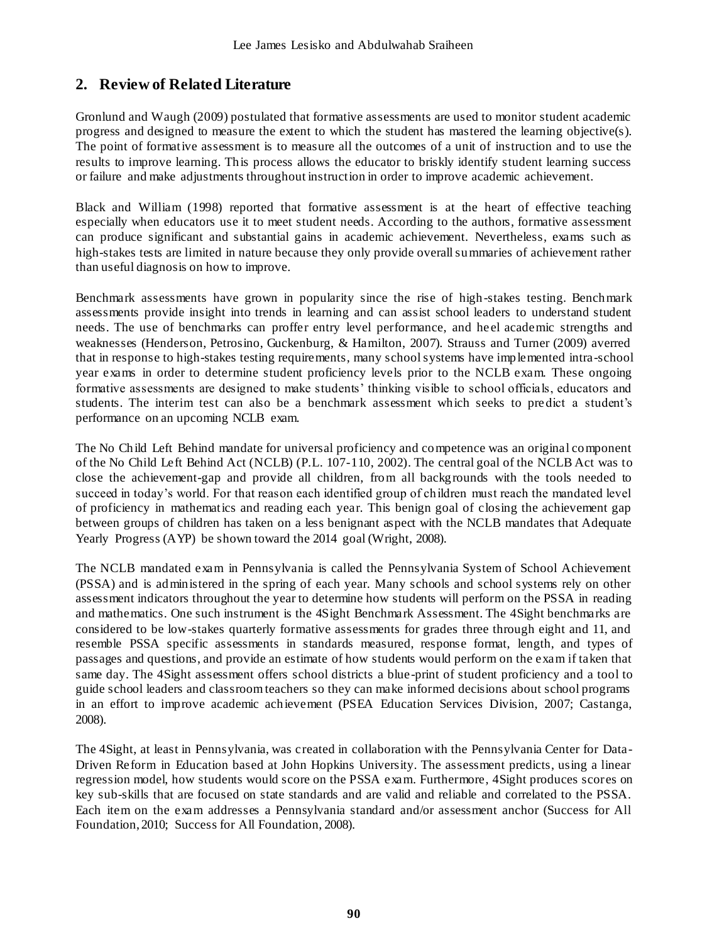# **2. Review of Related Literature**

Gronlund and Waugh (2009) postulated that formative assessments are used to monitor student academic progress and designed to measure the extent to which the student has mastered the learning objective(s). The point of formative assessment is to measure all the outcomes of a unit of instruction and to use the results to improve learning. This process allows the educator to briskly identify student learning success or failure and make adjustments throughout instruction in order to improve academic achievement.

Black and William (1998) reported that formative assessment is at the heart of effective teaching especially when educators use it to meet student needs. According to the authors, formative assessment can produce significant and substantial gains in academic achievement. Nevertheless, exams such as high-stakes tests are limited in nature because they only provide overall summaries of achievement rather than useful diagnosis on how to improve.

Benchmark assessments have grown in popularity since the rise of high-stakes testing. Benchmark assessments provide insight into trends in learning and can assist school leaders to understand student needs. The use of benchmarks can proffer entry level performance, and heel academic strengths and weaknesses (Henderson, Petrosino, Guckenburg, & Hamilton, 2007). Strauss and Turner (2009) averred that in response to high-stakes testing requirements, many school systems have implemented intra-school year exams in order to determine student proficiency levels prior to the NCLB exam. These ongoing formative assessments are designed to make students' thinking visible to school officials, educators and students. The interim test can also be a benchmark assessment which seeks to predict a student's performance on an upcoming NCLB exam.

The No Child Left Behind mandate for universal proficiency and competence was an original component of the No Child Left Behind Act (NCLB) (P.L. 107-110, 2002). The central goal of the NCLB Act was to close the achievement-gap and provide all children, from all backgrounds with the tools needed to succeed in today's world. For that reason each identified group of children must reach the mandated level of proficiency in mathematics and reading each year. This benign goal of closing the achievement gap between groups of children has taken on a less benignant aspect with the NCLB mandates that Adequate Yearly Progress (AYP) be shown toward the 2014 goal (Wright, 2008).

The NCLB mandated exam in Pennsylvania is called the Pennsylvania System of School Achievement (PSSA) and is administered in the spring of each year. Many schools and school systems rely on other assessment indicators throughout the year to determine how students will perform on the PSSA in reading and mathematics. One such instrument is the 4Sight Benchmark Assessment. The 4Sight benchmarks are considered to be low-stakes quarterly formative assessments for grades three through eight and 11, and resemble PSSA specific assessments in standards measured, response format, length, and types of passages and questions, and provide an estimate of how students would perform on the exam if taken that same day. The 4Sight assessment offers school districts a blue-print of student proficiency and a tool to guide school leaders and classroom teachers so they can make informed decisions about school programs in an effort to improve academic achievement (PSEA Education Services Division, 2007; Castanga, 2008).

The 4Sight, at least in Pennsylvania, was created in collaboration with the Pennsylvania Center for Data-Driven Reform in Education based at John Hopkins University. The assessment predicts, using a linear regression model, how students would score on the PSSA exam. Furthermore, 4Sight produces scores on key sub-skills that are focused on state standards and are valid and reliable and correlated to the PSSA. Each item on the exam addresses a Pennsylvania standard and/or assessment anchor (Success for All Foundation, 2010; Success for All Foundation, 2008).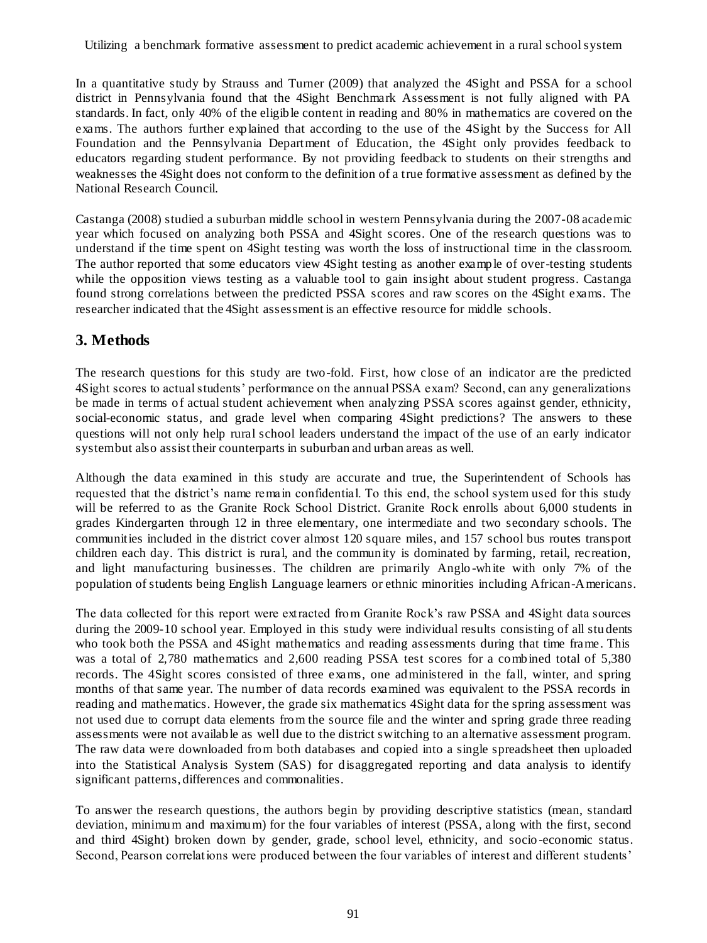Utilizing a benchmark formative assessment to predict academic achievement in a rural school system

In a quantitative study by Strauss and Turner (2009) that analyzed the 4Sight and PSSA for a school district in Pennsylvania found that the 4Sight Benchmark Assessment is not fully aligned with PA standards. In fact, only 40% of the eligible content in reading and 80% in mathematics are covered on the exams. The authors further explained that according to the use of the 4Sight by the Success for All Foundation and the Pennsylvania Department of Education, the 4Sight only provides feedback to educators regarding student performance. By not providing feedback to students on their strengths and weaknesses the 4Sight does not conform to the definition of a true formative assessment as defined by the National Research Council.

Castanga (2008) studied a suburban middle school in western Pennsylvania during the 2007-08 academic year which focused on analyzing both PSSA and 4Sight scores. One of the research questions was to understand if the time spent on 4Sight testing was worth the loss of instructional time in the classroom. The author reported that some educators view 4Sight testing as another example of over-testing students while the opposition views testing as a valuable tool to gain insight about student progress. Castanga found strong correlations between the predicted PSSA scores and raw scores on the 4Sight exams. The researcher indicated that the 4Sight assessment is an effective resource for middle schools.

# **3. Methods**

The research questions for this study are two-fold. First, how close of an indicator are the predicted 4Sight scores to actual students' performance on the annual PSSA exam? Second, can any generalizations be made in terms of actual student achievement when analyzing PSSA scores against gender, ethnicity, social-economic status, and grade level when comparing 4Sight predictions? The answers to these questions will not only help rural school leaders understand the impact of the use of an early indicator system but also assist their counterparts in suburban and urban areas as well.

Although the data examined in this study are accurate and true, the Superintendent of Schools has requested that the district's name remain confidential. To this end, the school system used for this study will be referred to as the Granite Rock School District. Granite Rock enrolls about 6,000 students in grades Kindergarten through 12 in three elementary, one intermediate and two secondary schools. The communities included in the district cover almost 120 square miles, and 157 school bus routes transport children each day. This district is rural, and the community is dominated by farming, retail, recreation, and light manufacturing businesses. The children are primarily Anglo -white with only 7% of the population of students being English Language learners or ethnic minorities including African-Americans.

The data collected for this report were extracted from Granite Rock's raw PSSA and 4Sight data sources during the 2009-10 school year. Employed in this study were individual results consisting of all stu dents who took both the PSSA and 4Sight mathematics and reading assessments during that time frame. This was a total of 2,780 mathematics and 2,600 reading PSSA test scores for a combined total of 5,380 records. The 4Sight scores consisted of three exams, one administered in the fall, winter, and spring months of that same year. The number of data records examined was equivalent to the PSSA records in reading and mathematics. However, the grade six mathematics 4Sight data for the spring assessment was not used due to corrupt data elements from the source file and the winter and spring grade three reading assessments were not available as well due to the district switching to an alternative assessment program. The raw data were downloaded from both databases and copied into a single spreadsheet then uploaded into the Statistical Analysis System (SAS) for disaggregated reporting and data analysis to identify significant patterns, differences and commonalities.

To answer the research questions, the authors begin by providing descriptive statistics (mean, standard deviation, minimum and maximum) for the four variables of interest (PSSA, along with the first, second and third 4Sight) broken down by gender, grade, school level, ethnicity, and socio -economic status. Second, Pearson correlations were produced between the four variables of interest and different students'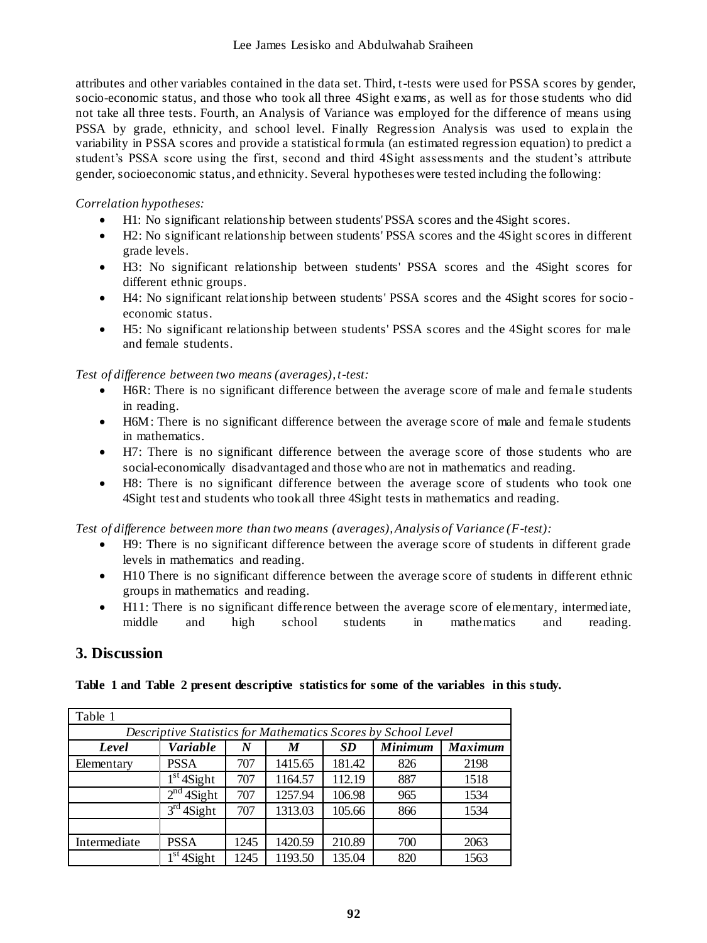attributes and other variables contained in the data set. Third, t-tests were used for PSSA scores by gender, socio-economic status, and those who took all three 4Sight exams, as well as for those students who did not take all three tests. Fourth, an Analysis of Variance was employed for the difference of means using PSSA by grade, ethnicity, and school level. Finally Regression Analysis was used to explain the variability in PSSA scores and provide a statistical formula (an estimated regression equation) to predict a student's PSSA score using the first, second and third 4Sight assessments and the student's attribute gender, socioeconomic status, and ethnicity. Several hypotheses were tested including the following:

#### *Correlation hypotheses:*

- H1: No significant relationship between students' PSSA scores and the 4Sight scores.
- H2: No significant relationship between students' PSSA scores and the 4Sight scores in different grade levels.
- H3: No significant relationship between students' PSSA scores and the 4Sight scores for different ethnic groups.
- H4: No significant relationship between students' PSSA scores and the 4Sight scores for socio economic status.
- H5: No significant relationship between students' PSSA scores and the 4Sight scores for male and female students.

*Test of difference between two means (averages), t-test:*

- H6R: There is no significant difference between the average score of male and female students in reading.
- H6M: There is no significant difference between the average score of male and female students in mathematics.
- H7: There is no significant difference between the average score of those students who are social-economically disadvantaged and those who are not in mathematics and reading.
- H8: There is no significant difference between the average score of students who took one 4Sight test and students who took all three 4Sight tests in mathematics and reading.

*Test of difference between more than two means (averages), Analysis of Variance (F-test):*

- H9: There is no significant difference between the average score of students in different grade levels in mathematics and reading.
- H10 There is no significant difference between the average score of students in different ethnic groups in mathematics and reading.
- H11: There is no significant difference between the average score of elementary, intermediate, middle and high school students in mathematics and reading.

# **3. Discussion**

#### **Table 1 and Table 2 present descriptive statistics for some of the variables in this study.**

| Table 1                                                       |                 |      |         |        |                      |                |  |  |  |  |  |
|---------------------------------------------------------------|-----------------|------|---------|--------|----------------------|----------------|--|--|--|--|--|
| Descriptive Statistics for Mathematics Scores by School Level |                 |      |         |        |                      |                |  |  |  |  |  |
| Level                                                         | <b>Variable</b> | N    | M       | SD.    | $\overline{Minimum}$ | <b>Maximum</b> |  |  |  |  |  |
| Elementary                                                    | <b>PSSA</b>     | 707  | 1415.65 | 181.42 | 826                  | 2198           |  |  |  |  |  |
|                                                               | $1st$ 4Sight    | 707  | 1164.57 | 112.19 | 887                  | 1518           |  |  |  |  |  |
|                                                               | $2nd$ 4Sight    | 707  | 1257.94 | 106.98 | 965                  | 1534           |  |  |  |  |  |
|                                                               | $3rd$ 4Sight    | 707  | 1313.03 | 105.66 | 866                  | 1534           |  |  |  |  |  |
|                                                               |                 |      |         |        |                      |                |  |  |  |  |  |
| Intermediate                                                  | <b>PSSA</b>     | 1245 | 1420.59 | 210.89 | 700                  | 2063           |  |  |  |  |  |
|                                                               | $1st$ 4Sight    | 1245 | 1193.50 | 135.04 | 820                  | 1563           |  |  |  |  |  |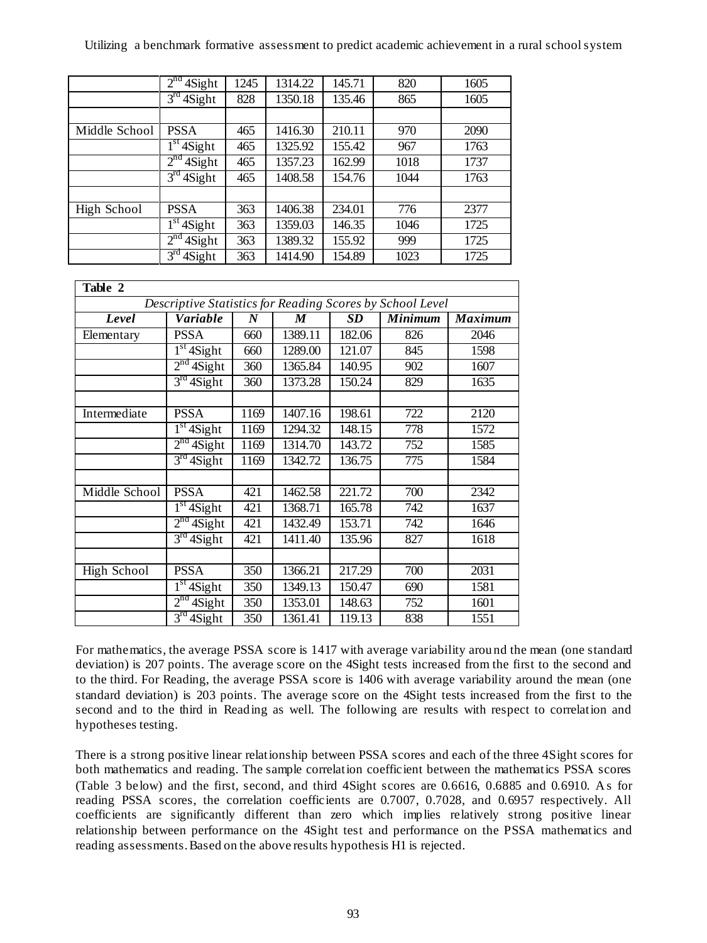| Utilizing a benchmark formative assessment to predict academic achievement in a rural school system |  |  |  |  |  |  |  |  |  |  |
|-----------------------------------------------------------------------------------------------------|--|--|--|--|--|--|--|--|--|--|
|-----------------------------------------------------------------------------------------------------|--|--|--|--|--|--|--|--|--|--|

|               | $2nd$ 4Sight | 1245 | 1314.22 | 145.71 | 820  | 1605 |
|---------------|--------------|------|---------|--------|------|------|
|               | $3rd$ 4Sight | 828  | 1350.18 | 135.46 | 865  | 1605 |
|               |              |      |         |        |      |      |
| Middle School | <b>PSSA</b>  | 465  | 1416.30 | 210.11 | 970  | 2090 |
|               | $1st$ 4Sight | 465  | 1325.92 | 155.42 | 967  | 1763 |
|               | $2nd$ 4Sight | 465  | 1357.23 | 162.99 | 1018 | 1737 |
|               | $3rd$ 4Sight | 465  | 1408.58 | 154.76 | 1044 | 1763 |
|               |              |      |         |        |      |      |
| High School   | <b>PSSA</b>  | 363  | 1406.38 | 234.01 | 776  | 2377 |
|               | $1st$ 4Sight | 363  | 1359.03 | 146.35 | 1046 | 1725 |
|               | $2nd$ 4Sight | 363  | 1389.32 | 155.92 | 999  | 1725 |
|               | $3rd$ 4Sight | 363  | 1414.90 | 154.89 | 1023 | 1725 |

| Table 2       |                           |                  |         |        |                                                           |                |
|---------------|---------------------------|------------------|---------|--------|-----------------------------------------------------------|----------------|
|               |                           |                  |         |        | Descriptive Statistics for Reading Scores by School Level |                |
| Level         | Variable                  | $\boldsymbol{N}$ | M       | SD     | <b>Minimum</b>                                            | <b>Maximum</b> |
| Elementary    | <b>PSSA</b>               | 660              | 1389.11 | 182.06 | 826                                                       | 2046           |
|               | $1st$ 4Sight              | 660              | 1289.00 | 121.07 | 845                                                       | 1598           |
|               | $2nd$ 4Sight              | 360              | 1365.84 | 140.95 | 902                                                       | 1607           |
|               | $3rd$ 4Sight              | 360              | 1373.28 | 150.24 | 829                                                       | 1635           |
|               |                           |                  |         |        |                                                           |                |
| Intermediate  | <b>PSSA</b>               | 1169             | 1407.16 | 198.61 | 722                                                       | 2120           |
|               | $1st$ 4Sight              | 1169             | 1294.32 | 148.15 | 778                                                       | 1572           |
|               | $2nd$ 4Sight              | 1169             | 1314.70 | 143.72 | 752                                                       | 1585           |
|               | 3 <sup>rd</sup><br>4Sight | 1169             | 1342.72 | 136.75 | 775                                                       | 1584           |
|               |                           |                  |         |        |                                                           |                |
| Middle School | <b>PSSA</b>               | 421              | 1462.58 | 221.72 | 700                                                       | 2342           |
|               | $1st$ 4Sight              | 421              | 1368.71 | 165.78 | 742                                                       | 1637           |
|               | $2nd$ 4Sight              | 421              | 1432.49 | 153.71 | 742                                                       | 1646           |
|               | $3rd$ 4Sight              | 421              | 1411.40 | 135.96 | 827                                                       | 1618           |
|               |                           |                  |         |        |                                                           |                |
| High School   | <b>PSSA</b>               | 350              | 1366.21 | 217.29 | 700                                                       | 2031           |
|               | $1st$ 4Sight              | 350              | 1349.13 | 150.47 | 690                                                       | 1581           |
|               | $2nd$ 4Sight              | 350              | 1353.01 | 148.63 | 752                                                       | 1601           |
|               | $3rd$ 4Sight              | 350              | 1361.41 | 119.13 | 838                                                       | 1551           |

For mathematics, the average PSSA score is 1417 with average variability arou nd the mean (one standard deviation) is 207 points. The average score on the 4Sight tests increased from the first to the second and to the third. For Reading, the average PSSA score is 1406 with average variability around the mean (one standard deviation) is 203 points. The average score on the 4Sight tests increased from the first to the second and to the third in Reading as well. The following are results with respect to correlation and hypotheses testing.

There is a strong positive linear relationship between PSSA scores and each of the three 4Sight scores for both mathematics and reading. The sample correlation coefficient between the mathematics PSSA scores (Table 3 below) and the first, second, and third 4Sight scores are 0.6616, 0.6885 and 0.6910. A s for reading PSSA scores, the correlation coefficients are 0.7007, 0.7028, and 0.6957 respectively. All coefficients are significantly different than zero which implies relatively strong positive linear relationship between performance on the 4Sight test and performance on the PSSA mathematics and reading assessments. Based on the above results hypothesis H1 is rejected.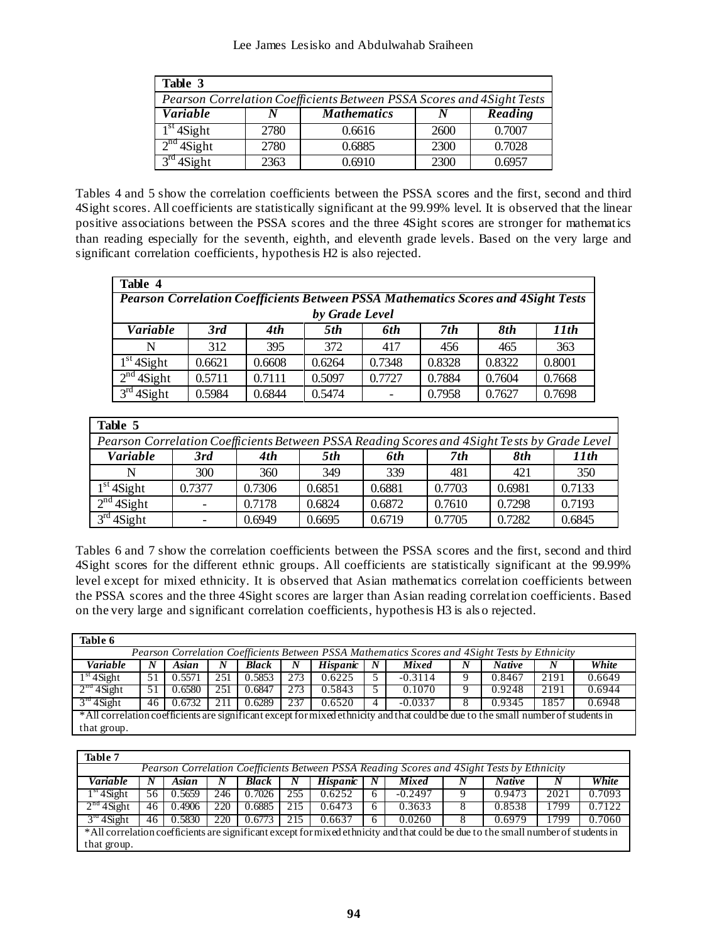| Table 3                                                                |      |                    |      |         |  |  |  |  |  |  |
|------------------------------------------------------------------------|------|--------------------|------|---------|--|--|--|--|--|--|
| Pearson Correlation Coefficients Between PSSA Scores and 4 Sight Tests |      |                    |      |         |  |  |  |  |  |  |
| <i>Variable</i>                                                        | N    | <b>Mathematics</b> | N    | Reading |  |  |  |  |  |  |
| $1st$ 4Sight                                                           | 2780 | 0.6616             | 2600 | 0.7007  |  |  |  |  |  |  |
| $2nd$ 4Sight                                                           | 2780 | 0.6885             | 2300 | 0.7028  |  |  |  |  |  |  |
| 4Sight                                                                 | 2363 | 0.6910             | 2300 | 0.6957  |  |  |  |  |  |  |

Tables 4 and 5 show the correlation coefficients between the PSSA scores and the first, second and third 4Sight scores. All coefficients are statistically significant at the 99.99% level. It is observed that the linear positive associations between the PSSA scores and the three 4Sight scores are stronger for mathematics than reading especially for the seventh, eighth, and eleventh grade levels. Based on the very large and significant correlation coefficients, hypothesis H2 is also rejected.

| Table 4                                                                                   |        |        |        |        |        |        |        |  |  |  |  |  |
|-------------------------------------------------------------------------------------------|--------|--------|--------|--------|--------|--------|--------|--|--|--|--|--|
| <b>Pearson Correlation Coefficients Between PSSA Mathematics Scores and 4 Sight Tests</b> |        |        |        |        |        |        |        |  |  |  |  |  |
| by Grade Level                                                                            |        |        |        |        |        |        |        |  |  |  |  |  |
| Variable                                                                                  | 3rd    | 4th    | 5th    | 6th    | 7th    | 8th    | 11th   |  |  |  |  |  |
| N                                                                                         | 312    | 395    | 372    | 417    | 456    | 465    | 363    |  |  |  |  |  |
| $1st$ 4Sight                                                                              | 0.6621 | 0.6608 | 0.6264 | 0.7348 | 0.8328 | 0.8322 | 0.8001 |  |  |  |  |  |
| $2nd$ 4Sight                                                                              | 0.5711 | 0.7111 | 0.5097 | 0.7727 | 0.7884 | 0.7604 | 0.7668 |  |  |  |  |  |
| $3^{\text{rd}}$<br>4Sight                                                                 | 0.5984 | 0.6844 | 0.5474 |        | 0.7958 | 0.7627 | 0.7698 |  |  |  |  |  |

| Table 5                                                                                      |                          |        |        |        |        |        |        |  |  |  |  |  |  |
|----------------------------------------------------------------------------------------------|--------------------------|--------|--------|--------|--------|--------|--------|--|--|--|--|--|--|
| Pearson Correlation Coefficients Between PSSA Reading Scores and 4Sight Tests by Grade Level |                          |        |        |        |        |        |        |  |  |  |  |  |  |
| Variable                                                                                     | 3rd                      | 4th    | 5th    | 6th    | 7th    | 8th    | 11th   |  |  |  |  |  |  |
|                                                                                              | 300                      | 360    | 349    | 339    | 481    | 421    | 350    |  |  |  |  |  |  |
| $1st$ 4Sight                                                                                 | 0.7377                   | 0.7306 | 0.6851 | 0.6881 | 0.7703 | 0.6981 | 0.7133 |  |  |  |  |  |  |
| $2nd$ 4Sight                                                                                 | $\overline{\phantom{m}}$ | 0.7178 | 0.6824 | 0.6872 | 0.7610 | 0.7298 | 0.7193 |  |  |  |  |  |  |
| $3rd$ 4Sight                                                                                 |                          | 0.6949 | 0.6695 | 0.6719 | 0.7705 | 0.7282 | 0.6845 |  |  |  |  |  |  |

Tables 6 and 7 show the correlation coefficients between the PSSA scores and the first, second and third 4Sight scores for the different ethnic groups. All coefficients are statistically significant at the 99.99% level except for mixed ethnicity. It is observed that Asian mathematics correlation coefficients between the PSSA scores and the three 4Sight scores are larger than Asian reading correlation coefficients. Based on the very large and significant correlation coefficients, hypothesis H3 is als o rejected.

| Table 6                                                                                                                           |                                                                                              |        |      |        |     |                 |                  |           |   |               |      |        |
|-----------------------------------------------------------------------------------------------------------------------------------|----------------------------------------------------------------------------------------------|--------|------|--------|-----|-----------------|------------------|-----------|---|---------------|------|--------|
| Pearson Correlation Coefficients Between PSSA Mathematics Scores and 4Sight Tests by Ethnicity                                    |                                                                                              |        |      |        |     |                 |                  |           |   |               |      |        |
| Variable                                                                                                                          | N                                                                                            | Asian  | N    | Black  | N   | <b>Hispanic</b> | $\boldsymbol{N}$ | Mixed     | N | <b>Native</b> | N    | White  |
| $1st$ 4 Sight                                                                                                                     | 51                                                                                           | 0.5571 | 2.51 | 0.5853 | 273 | 0.6225          | 5                | $-0.3114$ | 9 | 0.8467        | 2191 | 0.6649 |
| $2na$ 4 Sight                                                                                                                     | 0.6944<br>2191<br>0.6580<br>251<br>273<br>0.1070<br>0.9248<br>0.6847<br>0.5843<br>51<br>Q,   |        |      |        |     |                 |                  |           |   |               |      |        |
| $3^m$ 4 Sight                                                                                                                     | 237<br>$-0.0337$<br>1857<br>0.6948<br>0.6732<br>0.6520<br>0.9345<br>0.6289<br>211<br>46<br>4 |        |      |        |     |                 |                  |           |   |               |      |        |
| *All correlation coefficients are significant except for mixed ethnicity and that could be due to the small number of students in |                                                                                              |        |      |        |     |                 |                  |           |   |               |      |        |
| that group.                                                                                                                       |                                                                                              |        |      |        |     |                 |                  |           |   |               |      |        |

| Table 7                                                                                                                           |                                                                                                |        |     |        |     |          |   |           |  |               |      |        |
|-----------------------------------------------------------------------------------------------------------------------------------|------------------------------------------------------------------------------------------------|--------|-----|--------|-----|----------|---|-----------|--|---------------|------|--------|
| Pearson Correlation Coefficients Between PSSA Reading Scores and 4Sight Tests by Ethnicity                                        |                                                                                                |        |     |        |     |          |   |           |  |               |      |        |
| <b>Variable</b>                                                                                                                   |                                                                                                | Asian  |     | Black  | N   | Hispanic | N | Mixed     |  | <b>Native</b> |      | White  |
| $1st$ 4 Sight                                                                                                                     | 56                                                                                             | 0.5659 | 246 | 0.7026 | 255 | 0.6252   | 6 | $-0.2497$ |  | 0.9473        | 2021 | 0.7093 |
| $2na$ 4 Sight                                                                                                                     | 46                                                                                             | 0.4906 | 220 | 0.6885 | 215 | 0.6473   | 6 | 0.3633    |  | 0.8538        | 1799 | 0.7122 |
| $3^m$ 4 Sight                                                                                                                     | 0.7060<br>220<br>0.6637<br>0.0260<br>0.5830<br>215<br>0.6979<br>1799<br>0.6773<br>46<br>8<br>6 |        |     |        |     |          |   |           |  |               |      |        |
| *All correlation coefficients are significant except for mixed ethnicity and that could be due to the small number of students in |                                                                                                |        |     |        |     |          |   |           |  |               |      |        |
| that group.                                                                                                                       |                                                                                                |        |     |        |     |          |   |           |  |               |      |        |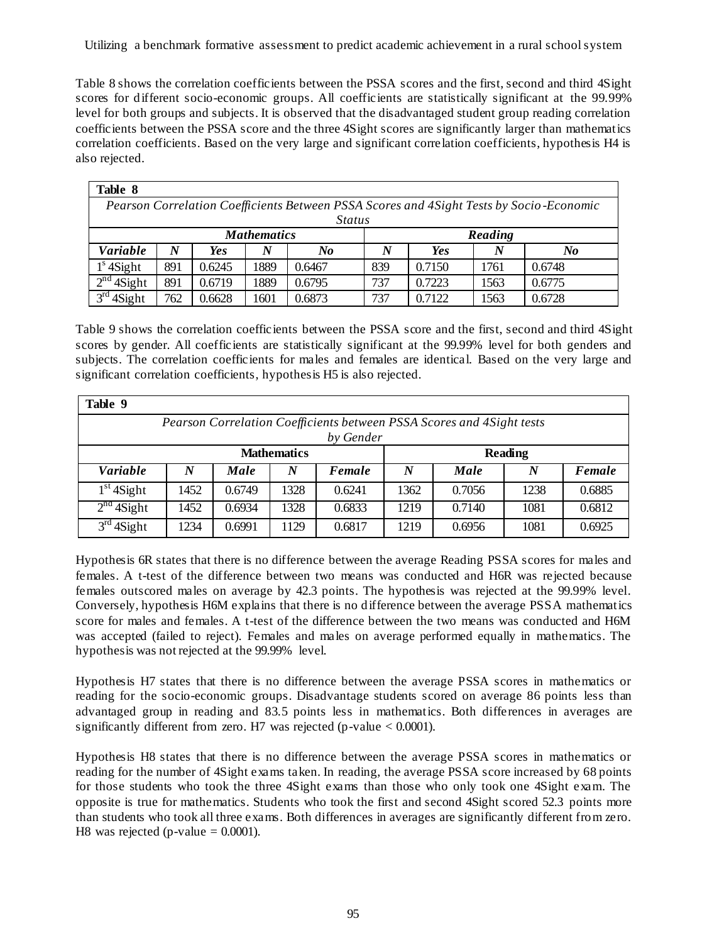Utilizing a benchmark formative assessment to predict academic achievement in a rural school system

Table 8 shows the correlation coefficients between the PSSA scores and the first, second and third 4Sight scores for different socio-economic groups. All coefficients are statistically significant at the 99.99% level for both groups and subjects. It is observed that the disadvantaged student group reading correlation coefficients between the PSSA score and the three 4Sight scores are significantly larger than mathematics correlation coefficients. Based on the very large and significant correlation coefficients, hypothesis H4 is also rejected.

| Table 8                                                                                  |     |        |      |        |                            |        |      |        |  |  |  |  |
|------------------------------------------------------------------------------------------|-----|--------|------|--------|----------------------------|--------|------|--------|--|--|--|--|
| Pearson Correlation Coefficients Between PSSA Scores and 4 Sight Tests by Socio-Economic |     |        |      |        |                            |        |      |        |  |  |  |  |
| <i>Status</i>                                                                            |     |        |      |        |                            |        |      |        |  |  |  |  |
| <b>Mathematics</b><br>Reading                                                            |     |        |      |        |                            |        |      |        |  |  |  |  |
| <b>Variable</b>                                                                          | N   | Yes    |      | No     | <b>Yes</b><br>N<br>No<br>N |        |      |        |  |  |  |  |
| $1s$ 4Sight                                                                              | 891 | 0.6245 | 1889 | 0.6467 | 839                        | 0.7150 | 1761 | 0.6748 |  |  |  |  |
| $\gamma$ nd<br>4Sight                                                                    | 891 | 0.6719 | 1889 | 0.6795 | 737                        | 0.7223 | 1563 | 0.6775 |  |  |  |  |
| $2^{rd}$<br>4Sight                                                                       | 762 | 0.6628 | 1601 | 0.6873 | 737                        | 0.7122 | 1563 | 0.6728 |  |  |  |  |

Table 9 shows the correlation coefficients between the PSSA score and the first, second and third 4Sight scores by gender. All coefficients are statistically significant at the 99.99% level for both genders and subjects. The correlation coefficients for males and females are identical. Based on the very large and significant correlation coefficients, hypothesis H5 is also rejected.

| Table 9         |                                                                       |        |      |        |      |        |      |        |  |  |  |  |  |
|-----------------|-----------------------------------------------------------------------|--------|------|--------|------|--------|------|--------|--|--|--|--|--|
|                 | Pearson Correlation Coefficients between PSSA Scores and 4Sight tests |        |      |        |      |        |      |        |  |  |  |  |  |
|                 | by Gender                                                             |        |      |        |      |        |      |        |  |  |  |  |  |
|                 | <b>Mathematics</b><br><b>Reading</b>                                  |        |      |        |      |        |      |        |  |  |  |  |  |
| <b>Variable</b> | N                                                                     | Male   | N    | Female | N    | Male   | N    | Female |  |  |  |  |  |
| $1st$ 4Sight    | 1452                                                                  | 0.6749 | 1328 | 0.6241 | 1362 | 0.7056 | 1238 | 0.6885 |  |  |  |  |  |
| $2nd$ 4Sight    | 1452                                                                  | 0.6934 | 1328 | 0.6833 | 1219 | 0.7140 | 1081 | 0.6812 |  |  |  |  |  |
| $3rd$ 4Sight    | 1234                                                                  | 0.6991 | 1129 | 0.6817 | 1219 | 0.6956 | 1081 | 0.6925 |  |  |  |  |  |

Hypothesis 6R states that there is no difference between the average Reading PSSA scores for males and females. A t-test of the difference between two means was conducted and H6R was rejected because females outscored males on average by 42.3 points. The hypothesis was rejected at the 99.99% level. Conversely, hypothesis H6M explains that there is no difference between the average PSSA mathematics score for males and females. A t-test of the difference between the two means was conducted and H6M was accepted (failed to reject). Females and males on average performed equally in mathematics. The hypothesis was not rejected at the 99.99% level.

Hypothesis H7 states that there is no difference between the average PSSA scores in mathematics or reading for the socio-economic groups. Disadvantage students scored on average 86 points less than advantaged group in reading and 83.5 points less in mathematics. Both differences in averages are significantly different from zero. H7 was rejected (p-value  $< 0.0001$ ).

Hypothesis H8 states that there is no difference between the average PSSA scores in mathematics or reading for the number of 4Sight exams taken. In reading, the average PSSA score increased by 68 points for those students who took the three 4Sight exams than those who only took one 4Sight exam. The opposite is true for mathematics. Students who took the first and second 4Sight scored 52.3 points more than students who took all three exams. Both differences in averages are significantly different from zero. H8 was rejected (p-value  $= 0.0001$ ).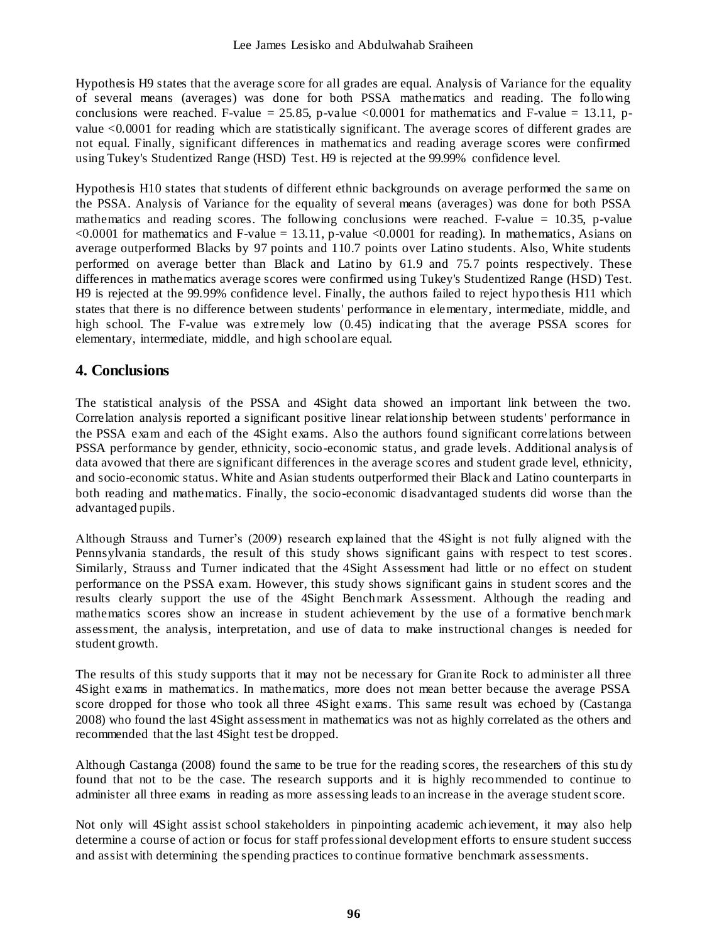Hypothesis H9 states that the average score for all grades are equal. Analysis of Variance for the equality of several means (averages) was done for both PSSA mathematics and reading. The following conclusions were reached. F-value = 25.85, p-value <0.0001 for mathematics and F-value = 13.11, pvalue <0.0001 for reading which are statistically significant. The average scores of different grades are not equal. Finally, significant differences in mathematics and reading average scores were confirmed using Tukey's Studentized Range (HSD) Test. H9 is rejected at the 99.99% confidence level.

Hypothesis H10 states that students of different ethnic backgrounds on average performed the same on the PSSA. Analysis of Variance for the equality of several means (averages) was done for both PSSA mathematics and reading scores. The following conclusions were reached. F-value  $= 10.35$ , p-value  $\langle 0.0001$  for mathematics and F-value = 13.11, p-value  $\langle 0.0001$  for reading). In mathematics, Asians on average outperformed Blacks by 97 points and 110.7 points over Latino students. Also, White students performed on average better than Black and Latino by 61.9 and 75.7 points respectively. These differences in mathematics average scores were confirmed using Tukey's Studentized Range (HSD) Test. H9 is rejected at the 99.99% confidence level. Finally, the authors failed to reject hypo thesis H11 which states that there is no difference between students' performance in elementary, intermediate, middle, and high school. The F-value was extremely low (0.45) indicating that the average PSSA scores for elementary, intermediate, middle, and high school are equal.

# **4. Conclusions**

The statistical analysis of the PSSA and 4Sight data showed an important link between the two. Correlation analysis reported a significant positive linear relationship between students' performance in the PSSA exam and each of the 4Sight exams. Also the authors found significant correlations between PSSA performance by gender, ethnicity, socio-economic status, and grade levels. Additional analysis of data avowed that there are significant differences in the average scores and student grade level, ethnicity, and socio-economic status. White and Asian students outperformed their Black and Latino counterparts in both reading and mathematics. Finally, the socio-economic disadvantaged students did worse than the advantaged pupils.

Although Strauss and Turner's (2009) research explained that the 4Sight is not fully aligned with the Pennsylvania standards, the result of this study shows significant gains with respect to test scores. Similarly, Strauss and Turner indicated that the 4Sight Assessment had little or no effect on student performance on the PSSA exam. However, this study shows significant gains in student scores and the results clearly support the use of the 4Sight Benchmark Assessment. Although the reading and mathematics scores show an increase in student achievement by the use of a formative benchmark assessment, the analysis, interpretation, and use of data to make instructional changes is needed for student growth.

The results of this study supports that it may not be necessary for Granite Rock to administer all three 4Sight exams in mathematics. In mathematics, more does not mean better because the average PSSA score dropped for those who took all three 4Sight exams. This same result was echoed by (Castanga 2008) who found the last 4Sight assessment in mathematics was not as highly correlated as the others and recommended that the last 4Sight test be dropped.

Although Castanga (2008) found the same to be true for the reading scores, the researchers of this stu dy found that not to be the case. The research supports and it is highly recommended to continue to administer all three exams in reading as more assessing leads to an increase in the average student score.

Not only will 4Sight assist school stakeholders in pinpointing academic achievement, it may also help determine a course of action or focus for staff professional development efforts to ensure student success and assist with determining the spending practices to continue formative benchmark assessments.